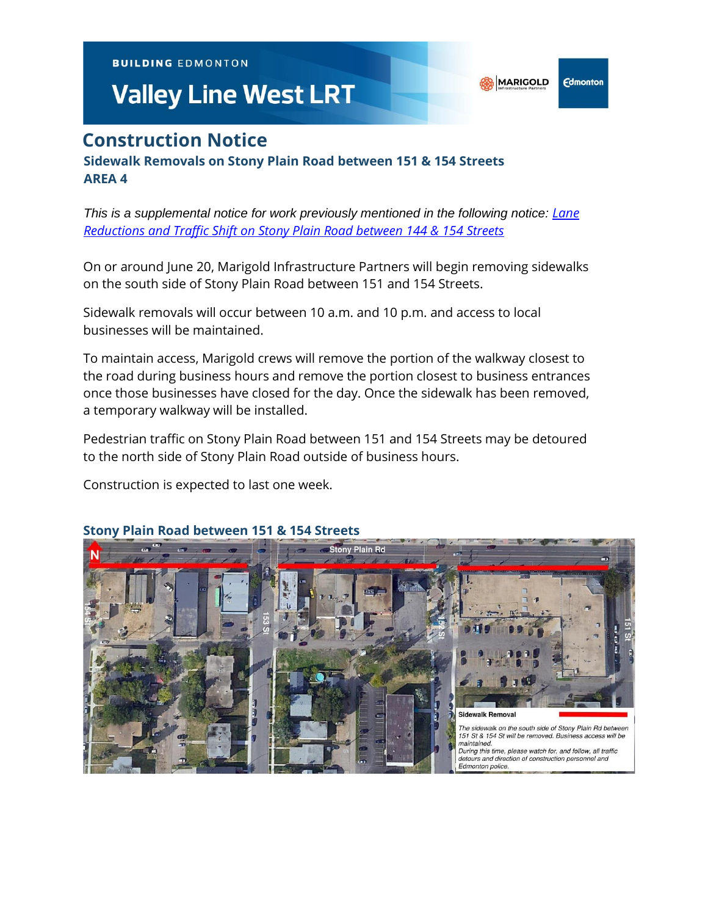**BUILDING EDMONTON** 

# **Valley Line West LRT**

## **Construction Notice**

**Sidewalk Removals on Stony Plain Road between 151 & 154 Streets AREA 4**

*This is a supplemental notice for work previously mentioned in the following notice: [Lane](https://vlwcommprod.blob.core.windows.net/vlwcomm-files/a0e61fb5-3b05-4681-8fe2-342cb0fa644d-8b0c62e1-1fea-43b0-b73a-ffd249146317-SPR%20&%20144-154%20St%20SOUTH.pdf)  [Reductions and Traffic Shift on Stony Plain Road between 144 & 154 Streets](https://vlwcommprod.blob.core.windows.net/vlwcomm-files/a0e61fb5-3b05-4681-8fe2-342cb0fa644d-8b0c62e1-1fea-43b0-b73a-ffd249146317-SPR%20&%20144-154%20St%20SOUTH.pdf)*

On or around June 20, Marigold Infrastructure Partners will begin removing sidewalks on the south side of Stony Plain Road between 151 and 154 Streets.

Sidewalk removals will occur between 10 a.m. and 10 p.m. and access to local businesses will be maintained.

To maintain access, Marigold crews will remove the portion of the walkway closest to the road during business hours and remove the portion closest to business entrances once those businesses have closed for the day. Once the sidewalk has been removed, a temporary walkway will be installed.

Pedestrian traffic on Stony Plain Road between 151 and 154 Streets may be detoured to the north side of Stony Plain Road outside of business hours.

Construction is expected to last one week.



#### **Stony Plain Road between 151 & 154 Streets**